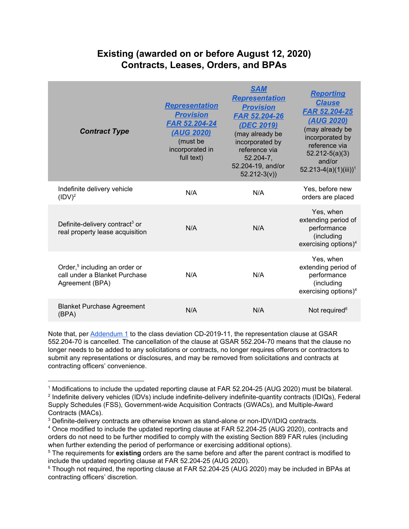## **Existing (awarded on or before August 12, 2020) Contracts, Leases, Orders, and BPAs**

| <b>Contract Type</b>                                                                          | <b>Representation</b><br><b>Provision</b><br>FAR 52.204-24<br>(AUG 2020)<br>(must be<br>incorporated in<br>full text) | <b>SAM</b><br><b>Representation</b><br><b>Provision</b><br><b>FAR 52.204-26</b><br>(DEC 2019)<br>(may already be<br>incorporated by<br>reference via<br>$52.204 - 7$ ,<br>52.204-19, and/or<br>$52.212-3(v)$ | <b>Reporting</b><br><b>Clause</b><br><b>FAR 52.204-25</b><br><u>(AUG 2020)</u><br>(may already be<br>incorporated by<br>reference via<br>$52.212 - 5(a)(3)$<br>and/or<br>$52.213-4(a)(1)(iii))$ <sup>1</sup> |
|-----------------------------------------------------------------------------------------------|-----------------------------------------------------------------------------------------------------------------------|--------------------------------------------------------------------------------------------------------------------------------------------------------------------------------------------------------------|--------------------------------------------------------------------------------------------------------------------------------------------------------------------------------------------------------------|
| Indefinite delivery vehicle<br>(IDV) <sup>2</sup>                                             | N/A                                                                                                                   | N/A                                                                                                                                                                                                          | Yes, before new<br>orders are placed                                                                                                                                                                         |
| Definite-delivery contract <sup>3</sup> or<br>real property lease acquisition                 | N/A                                                                                                                   | N/A                                                                                                                                                                                                          | Yes, when<br>extending period of<br>performance<br>(including<br>exercising options) <sup>4</sup>                                                                                                            |
| Order, <sup>5</sup> including an order or<br>call under a Blanket Purchase<br>Agreement (BPA) | N/A                                                                                                                   | N/A                                                                                                                                                                                                          | Yes, when<br>extending period of<br>performance<br>(including<br>exercising options) $4$                                                                                                                     |
| <b>Blanket Purchase Agreement</b><br>(BPA)                                                    | N/A                                                                                                                   | N/A                                                                                                                                                                                                          | Not required <sup>6</sup>                                                                                                                                                                                    |

Note that, per [Addendum](http://gsa.gov/node/126065) 1 to the class deviation CD-2019-11, the representation clause at GSAR 552.204-70 is cancelled. The cancellation of the clause at GSAR 552.204-70 means that the clause no longer needs to be added to any solicitations or contracts, no longer requires offerors or contractors to submit any representations or disclosures, and may be removed from solicitations and contracts at contracting officers' convenience.

<sup>1</sup> Modifications to include the updated reporting clause at FAR 52.204-25 (AUG 2020) must be bilateral. 2 Indefinite delivery vehicles (IDVs) include indefinite-delivery indefinite-quantity contracts (IDIQs), Federal Supply Schedules (FSS), Government-wide Acquisition Contracts (GWACs), and Multiple-Award Contracts (MACs).

<sup>3</sup> Definite-delivery contracts are otherwise known as stand-alone or non-IDV/IDIQ contracts.

<sup>4</sup> Once modified to include the updated reporting clause at FAR 52.204-25 (AUG 2020), contracts and orders do not need to be further modified to comply with the existing Section 889 FAR rules (including when further extending the period of performance or exercising additional options).

<sup>5</sup> The requirements for **existing** orders are the same before and after the parent contract is modified to include the updated reporting clause at FAR 52.204-25 (AUG 2020).

<sup>6</sup> Though not required, the reporting clause at FAR 52.204-25 (AUG 2020) may be included in BPAs at contracting officers' discretion.